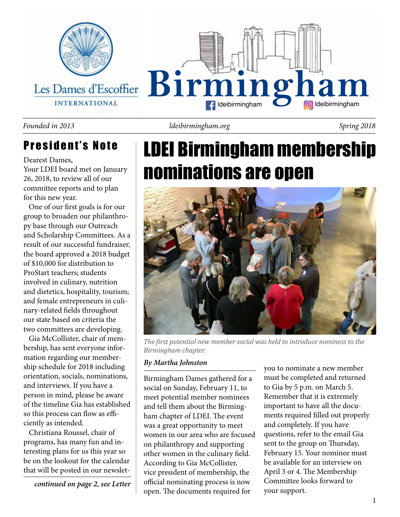

## President's Note

Dearest Dames,

Your LDEI board met on January 26, 2018, to review all of our committee reports and to plan for this new year.

 One of our first goals is for our group to broaden our philanthropy base through our Outreach and Scholarship Committees. As a result of our successful fundraiser, the board approved a 2018 budget of \$10,000 for distribution to ProStart teachers; students involved in culinary, nutrition and dietetics, hospitality, tourism; and female entrepreneurs in culinary-related fields throughout our state based on criteria the two committees are developing.

 Gia McCollister, chair of membership, has sent everyone information regarding our membership schedule for 2018 including orientation, socials, nominations, and interviews. If you have a person in mind, please be aware of the timeline Gia has established so this process can flow as efficiently as intended.

 Christiana Roussel, chair of programs, has many fun and interesting plans for us this year so be on the lookout for the calendar that will be posted in our newslet-

*continued on page 2, see Letter*

*Founded in 2013 ldeibirmingham.org Spring 2018*

# LDEI Birmingham membership nominations are open



*The first potential new member social was held to introduce nominess to the Birmingham chapter.*

Birmingham Dames gathered for a social on Sunday, February 11, to meet potential member nominees and tell them about the Birmingham chapter of LDEI. The event was a great opportunity to meet women in our area who are focused on philanthropy and supporting other women in the culinary field. According to Gia McCollister, vice president of membership, the official nominating process is now open. The documents required for

*By Martha Johnston*<br>
you to nominate a new member must be completed and returned to Gia by 5 p.m. on March 5. Remember that it is extremely important to have all the documents required filled out properly and completely. If you have questions, refer to the email Gia sent to the group on Thursday, February 15. Your nominee must be available for an interview on April 3 or 4. The Membership Committee looks forward to your support.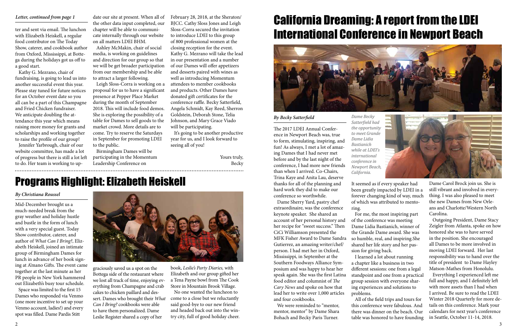ter and sent via email. The lunchon with Elizabeth Heiskell, a regular food contributor on The Today Show, caterer, and cookbook author from Oxford, Mississippi, at Bottega during the holidays got us off to a good start.

 Kathy G. Mezrano, chair of fundraising, is going to lead us into another successful event this year. Please stay tuned for future notices for an October event date so you all can be a part of this Champagne and Fried Chicken fundraiser. We anticipate doubling the attendance this year which means raising more money for grants and scholarships and working together to raise the profile of our group!

 Jennifer Yarbrough, chair of our website committee, has made a lot of progress but there is still a lot left to do. Her team is working to up-

the other data input completed, our chapter will be able to communicate internally through our website on all matters LDEI BHM.

 Ashley McMakin, chair of social media, is working on guidelines and direction for our group so that we will be get broader participation from our membership and be able to attract a larger following.

Letter, continued from page 1 and that edur site at present. When all of February 28, 2018, at the Sheraton/ BJCC. Cathy Sloss Jones and Leigh Sloss-Corra secured the invitation to introduce LDEI to this group of 800 professional women at the closing reception for the event. Kathy G. Mezrano will take the lead in our presentation and a number of our Dames will offer appetizers and desserts paired with wines as well as introducing Momentum attendees to member cookbooks and products. Other Dames have donated gift certificates for the conference raffle. Becky Satterfield, Angela Schmidt, Kay Reed, Sherron Goldstein, Deborah Stone, Telia Johnson, and Mary Grace Viado will be participating.

 Leigh Sloss-Corra is working on a proposal for us to have a significant presence at Pepper Place Market during the month of September 2018. This will include food demos. She is exploring the possibility of a table for Dames to sell goods to the market crowd. More details are to come. Try to reserve the Saturdays in September for promoting LDEI to the public.

 Birmingham Dames will be participating in the Momentum Leadership Conference on

 It's going to be another productive year for us, and I look forward to seeing all of you!

> Yours truly, Becky

## California Dreaming: A report from the LDEI International Conference in Newport Beach

The 2017 LDEI Annual Conference in Newport Beach was, true ing Dames that I had never met before and by the last night of the than when I arrived. Co-Chairs, Trina Kaye and Anita Lau, deserve thanks for all of the planning and hard work they did to make our conference so worthwhile.

 Dame Sherry Yard, pastry chef extraordinaire, was the conference keynote speaker. She shared an account of her personal history and her recipe for "sweet success." Then CiCi Williamson presented the MFK Fisher Award to Dame Sandra Gutierrez, an amazing writer/chef/ person. I had met her in Oxford, Mississippi, in September at the Southern Foodways Alliance Symposium and was happy to hear her speak again. She was the first Latina food editor and columnist of *The Cary News* and spoke on how that lead her to write over 1,000 articles and four cookbooks.

 We were reminded to "mentor, mentor, mentor" by Dame Shara Bohach and Becky Paris Turner.

It seemed as if every speaker had been greatly impacted by LDEI in a forever changing kind of way, much of which was attributed to mentoring.



 For me, the most inspiring part of the conference was meeting Dame Lidia Bastianich, winner of the Grande Dame award. She was so humble, real, and inspiring.She shared her life story and her passion for giving back.

 I learned a lot about running a chapter like a business in two different sessions: one from a legal standpoint and one from a practical group session with everyone sharing experiences and solutions to problems.

 All of the field trips and tours for this conference were fabulous. And there was dinner on the beach. Our table was honored to have founding

Dame Carol Brock join us. She is still vibrant and involved in everything. I was also pleased to meet the new Dames from New Orleans and Charlotte/Western North Carolina.

 Outgoing President, Dame Stacy Zeigler from Atlanta, spoke on how honored she was to have served in the position. She encouraged all Dames to be more involved in moving LDEI forward. Her last responsibility was to hand over the title of president to Dame Hayley Matson-Mathes from Honolulu.

 Everything I experienced left me full and happy, and I definitely left with more assets than I had when I arrived. Be sure to read the LDEI Winter 2018 Quarterly for more details on this conference. Mark your calendars for next year's conference in Seattle, October 11-14, 2018.

## Programs Highlight: Elizabeth Heiskell

Mid-December brought us a much-needed break from the gray weather and holiday hustle and bustle in the form of lunch with a very special guest. Today Show contributor, caterer, and author of *What Can I Bring?*, Elizabeth Heiskell, joined an intimate group of Birmingham Dames for lunch in advance of her book signing at A'mano Gifts. The event came together at the last minute as her PR people in New York hammered out Elizabeth's busy tour schedule.

 Space was limited to the first 15 Dames who responded via Venmo (one more incentive to set up your Venmo account, ladies!) and every spot was filled. Dame Pardis Stitt



#### *By Christiana Roussel*

graciously saved us a spot on the Bottega side of the restaurant where we lost all track of time, enjoying everything from Champagne and crab cakes to chicken paillard and dessert. Dames who brought their *What Can I Bring?* cookbooks were able to have them personalized. Dame Leslie Register shared a copy of her

book, *Leslie's Party Diaries,* with Elizabeth and our group gifted her a Tena Payne bowl from The Cook Store in Mountain Brook Village.

 No one wanted the luncheon to come to a close but we reluctantly said good-bye to our new friend and headed back out into the wintry city, full of good holiday cheer.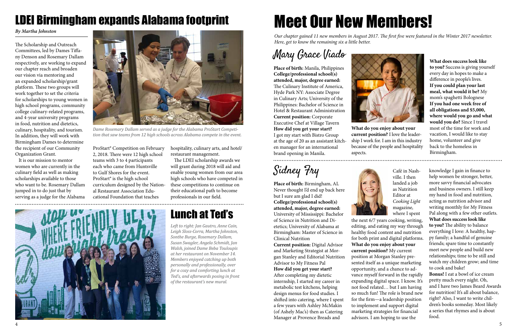4 5







**Place of birth:** Birmingham, AL Never thought I'd end up back here but I sure am glad I did! **College/professional school(s) attended, major, degree earned:**  University of Mississippi: Bachelor of Science in Nutrition and Dietetics; University of Alabama at Birmingham: Master of Science in Clinical Nutrition Lunch at Ted's<br>
University of Mississippi: Bachelor<br>
of Science in Nutrition and Di-<br>
the next 6/7 years cooking, writing,

*Our chapter gained 11 new members in August 2017. The first five were featured in the Winter 2017 newsletter. Here, get to know the remaining six a little better.* 

Sidney Fry

**Current position:** Digital Advisor and Marketing Strategist at Morgan Stanley and Editorial Nutrition Advisor to My Fitness Pal **How did you get your start?**  After completing my dietetic internship, I started my career in metabolic test kitchens, helping design menus for food studies. I shifted into catering, where I spent a few years with Ashley McMakin (of Ashely Mac's) then as Catering Manager at Provence Breads and



knowledge I gain in finance to help women be stronger, better, more savvy financial advocates and business owners. I still keep my hand in food and nutrition, acting as nutrition advisor and writing monthly for My Fitness Pal along with a few other outlets. **What does success look like to you?** The ability to balance everything I love: A healthy, happy family; a handful of genuine friends; spare time to constantly meet new people and build new relationships; time to be still and watch my children grow; and time to cook and bake! **Bonus!** I eat a bowl of ice cream pretty much every night. Oh, and I have two James Beard Awards for nutrition! It's all about balance,

right? Also, I want to write children's books someday. Most likely a series that rhymes and is about food.

## Mary Grace Viado

**Place of birth:** Manila, Philippines **College/professional school(s) attended, major, degree earned:**  The Culinary Institute of America, Hyde Park NY: Associate Degree in Culinary Arts; University of the Philippines: Bachelor of Science in Hotel & Restaurant Administration **Current position:** Corporate Executive Chef at Village Tavern **How did you get your start?** I got my start with Bistro Group at the age of 20 as an assistant kitchen manager for an international brand opening in Manila.

**What does success look like to you?** Success is giving yourself every day in hopes to make a difference in people's lives. **If you could plan your last meal, what would it be?** My mom's spaghetti Bolognese **If you had one week free of all obligations and \$5,000, where would you go and what would you do?** Since I travel most of the time for work and vacation, I would like to stay home, volunteer and give back to the homeless in Birmingham.





**What do you enjoy about your current position?** I love the leadership I work for. I am in this industry because of the people and hospitality aspects.

...................................

Café in Nashville. I then landed a job as Nutrition Editor at *Cooking Light* magazine, where I spent



*Dame Rosemary Dallam served as a judge for the Alabama ProStart Competition that saw teams from 12 high schools across Alabama compete in the event.* 

*By Martha Johnston*

# LDEI Birmingham expands Alabama footprint

The Scholarship and Outreach Committees, led by Dames Tiffany Denson and Rosemary Dallam respectively, are working to expand our chapter reach and broaden our vision via mentoring and an expanded scholarship/grant platform. These two groups will work together to set the criteria for scholarships to young women in high school programs, community college culinary-related programs, and 4-year university programs in food, nutrition and dietetics, culinary, hospitality, and tourism. In addition, they will work with Birmingham Dames to determine the recipient of our Community Organization Grant.

 It is our mission to mentor women who are currently in the culinary field as well as making scholarships available to those who want to be. Rosemary Dallam jumped in to do just that by serving as a judge for the Alabama

ProStart® Competition on February 2, 2018. There were 12 high school teams with 3 to 4 participants each who came from Huntsville to Gulf Shores for the event. ProStart® is the high school curriculum designed by the National Restaurant Association Educational Foundation that teaches

hospitality, culinary arts, and hotel/ restaurant management.

 The LDEI scholarship awards we will grant during 2018 will aid and enable young women from our area high schools who have competed in these competitions to continue on their educational path to become professionals in our field.

*Left to right: Jan Gautro, Anne Cain, Leigh Sloss-Corra, Martha Johnston, Sonthe Burge, Rosemary Dallam, Susan Swagler, Angela Schmidt, Jan Walsh, joined Dame Beba Touloupis at her restaurant on November 14. Members enjoyed catching up both personally and professionally, over for a cozy and comforting lunch at Ted's, and afterwards posing in front of the restaurant's new mural.* 

editing, and eating my way through healthy food content and nutrition for both print and digital platforms. **What do you enjoy about your current position?** My current position at Morgan Stanley presented itself as a unique marketing opportunity, and a chance to advance myself forward in the rapidly expanding digital space. I know. It's not food related… but I am having so much fun! The role is brand new for the firm—a leadership position to implement and support digital marketing strategies for financial advisors. I am hoping to use the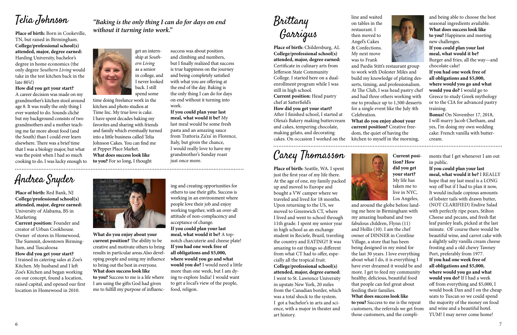Carey Thomasson

**Place of birth:** Seattle, WA. I spent just the first year of my life there. At the age of one, my family packed up and moved to Europe and bought a VW camper where we traveled and lived for 18 months. Upon returning to the US, we moved to Greenwich CT, where I lived and went to school through 11th grade. I spent my senior year in high school as an exchange student in Reciefe, Brazil, traveling the country and EATING!! It was amazing to eat things so different from what CT had to offer, especially all the tropical fruit. **College/professional school(s) attended, major, degree earned:**  I went to St. Lawrence University in upstate New York, 20 miles from the Canadian border, which was a total shock to the system. I got a bachelor's in arts and science, with a major in theater and art history.



ments that I get whenever I am out in public.

**If you could plan your last meal, what would it be?** I REALLY hope that my last meal is a LONG way off but if I had to plan it now, It would include copious amounts of lobster tails with drawn butter, (NOT CLARIFIED) Endive Salad with perfectly ripe pears, Stilton Cheese and pecans, and fresh flat leaf parsley leafs, picked at the last minute. OF course there would be beautiful wine, and carrot cake with a slightly salty vanilla cream cheese frosting and a old chewy Tawney Port, preferably from 1977. **If you had one week free of all obligations and \$5,000, where would you go and what would you do?** If I had a week off from everything and \$5,000, I would book Dan and I on the cheap seats to Tuscan so we could spend the majority of the money on food and wine and a beautiful hotel. YUM! I may never come home!

Telia Johnson

**Place of birth:** Born in Cookeville, TN, but raised in Birmingham. **College/professional school(s) attended, major, degree earned:**  Harding University, bachelor's degree in home economics (the only degree *Southern Living* would take in the test kitchen back in the late 80's!)

**How did you get your start?** A career decision was made on my

> **Current position? How did you get your start?**  My life has taken me to live in NYC, Los Angeles,

and around the globe before landing me here in Birmingham with my amazing husband and two fabulous children, Flynn (11) and Hollis (10). I am the chef owner of DINNER in Crestline Village, a store that has been being designed in my mind for the last 30 years. I love everything about what I do, it is everything I have ever dreamed it would be and more. I get to feed my community healthy, delicious, beautiful food that people can feel great about

feeding their families. **What does success look like** 

**to you?** Success to me is the repeat customers, the referrals we get from those customers, and the compli-

Brittany Garrigus

**Place of birth:** Childersburg, AL **College/professional school(s) attended, major, degree earned:**  Certificate in culinary arts from Jefferson State Community College. I started here on a dualenrollment program while I was still in high school.

**Current position:** Head pastry chef at Satterfield's

**How did you get your start?**  After I finished school, I started at Olexa's Bakery making buttercream and cakes, tempering chocolate, making gelato, and decorating cakes. On occasion I worked on the kitchen to myself in the morning,

and Pardis Stitt's restaurant group to work with Dolester Miles and build my knowledge of plating desserts, timing, and professionalism. At The Club, I was head pastry chef and had three others working with me to produce up to 1,500 desserts for a single event like the July 4th

Celebration.

#### **What do you enjoy about your**

**current position?** Creative freedom, the quiet of having the 

Andrea Snyder

**Place of birth:** Red Bank, NJ **College/professional school(s) attended, major, degree earned:**  University of Alabama, BS in Marketing

grandmother's kitchen stool around age 8. It was really the only thing I ever wanted to do. Sounds cliché but my background consists of two grandmothers and a mother teaching me far more about food (and the South) than I could ever learn elsewhere. There was a brief time that I was a biology major, but what was the point when I had so much cooking to do. I was lucky enough to **to you?** For so long, I thought



**Current position:** Founder and creator of Urban Cookhouse. Owner of stores in Homewood, The Summit, downtown Birmingham, and Tuscaloosa

### **How did you get your start?**

I trained in catering sales at Zoe's Kitchen. My husband and I left Zoe's Kitchen and began working on our concept, found a location, raised capital, and opened our first location in Homewood in 2010.



ing and creating opportunities for others to use their gifts. Success is working in an environment where people love their job and enjoy working together, with an over-all attitude of non-complacency and acceptance of change. **If you could plan your last meal, what would it be?** A topnotch charcuterie and cheese plate! **If you had one week free of all obligations and \$5,000, where would you go and what would you do?** I would need a little more than one week, but I am dying to explore India! I would want

to get a local's view of the people, food, religon.

**What do you enjoy about your current position?** The ability to be creative and motivate others to bring results in particular areas.Also developing people and using my influence to bring out the best in everyone. **What does success look like** 

**to you?** Success to me is a life where I am using the gifts God had given me to fulfill my purpose of influencsuccess was about position and climbing and numbers, but I finally realized that success is true happiness on the journey and being completely satisfied with what you are offering at the end of the day. Baking is the only thing I can do for days on end without it turning into work.

### **If you could plan your last meal, what would it be?** My last meal would be some fresh pasta and an amazing sauce from Trattoria Za'za' in Florence, Italy, but given the chance, I would really love to have my grandmother's Sunday roast

just once more.

time doing freelance work in the kitchen and photo studios at Time Inc. My true love is cake. I have spent decades baking my favorites and sharing with friends and family which eventually turned into a little business called Telia Johnson Cakes. You can find me at Pepper Place Market. **What does success look like** 

get an internship at *Southern Living* as a senior in college, and I never looked back. I still spend some

*"Baking is the only thing I can do for days on end* 

*without it turning into work."*

and being able to choose the best seasonal ingredients available. **What does success look like to you?** Happiness and meeting new challenges.

**If you could plan your last meal, what would it be?**  Burger and fries, all the way—and chocolate cake!

**If you had one week free of all obligations and \$5,000, where would you go and what would you do?** I would go to Greece to study Greek mythology or to the CIA for advanced pastry training.

**Bonus!** On November 17, 2018, I will marry Jacob Chetham, and yes, I'm doing my own wedding cake: French vanilla with buttercream.

line and waited on tables in the then moved to

restaurant. I

Angel's Cakes

& Confections. My next move



was to Frank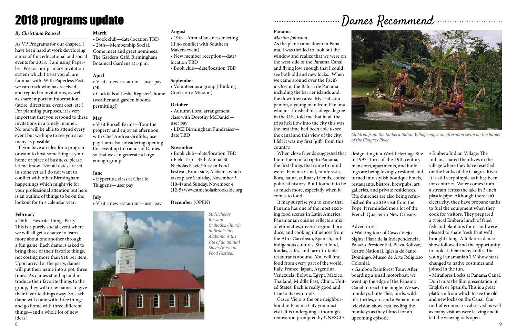

As VP Programs for our chapter, I have been hard at work developing a mix of fun, educational and social events for 2018. I am using Paperless Post as our primary invitation system which I trust you all are familiar with. With Paperless Post, we can track who has received and replied to invitations, as well as share important information (attire, directions, event cost, etc.) For planning purposes, it is very important that you respond to these **May** invitations in a timely manner. No one will be able to attend every event but we hope to see you at as many as possible!

 If you have an idea for a program or want to host something at your home or place of business, please let me know. Not all dates are set in stone yet as I do not want to conflict with other Birmingham happenings which might vie for your professional attention but here is an outline of things to be on the lookout for this calendar year:

#### **February**

• 26th—Favorite Things Party This is a purely social event where we will all get a chance to learn more about one another through a fun game. Each dame is asked to bring three of their favorite things, not costing more than \$10 per item. Upon arrival at the party, dames will put their name into a pot, three times. As dames stand up and introduce their favorite things to the group, they will draw names to give their favorite things away. So, each dame will come with three things and go home with three different things—and a whole lot of new ideas!

## 2018 programs update

### *By Christiana Roussel* **March**

• Book club—date/location TBD • 28th—Membership Social. Come meet and greet nominees; The Gardens Café, Birmingham Botanical Gardens at 5 p.m.

### **April**

• Visit a new restaurant—user pay OR

• Cocktails at Leslie Register's home (weather and garden blooms permitting!)

• Visit Pursell Farms—Tour the property and enjoy an afternoon with Chef Andrea Griffiths; user pay. I am also considering opening this event up to friends of Dames so that we can generate a large enough group.

#### **June**

• Hypertufa class at Charlie Thigpen's—user pay

#### **July**

• Visit a new restaurant—user pay

#### **August**

- 19th Annual business meeting (if no conflict with Southern Makers event)
- New member reception—date/ location TBD
- Book club—date/location TBD

#### **September**

• Volunteer as a group (thinking Cooks on a Mission)

#### **October**

• Autumn floral arrangement class with Dorothy McDaniel—

user pay • LDEI Birmingham Fundraiser date TBD

#### **November**

• Book club—date/location TBD • Field Trip—35th Annual St. Nicholas Slavic/Russian Food Festival, Brookside, Alabama which takes place Saturday, November 3 (10-4) and Sunday, November 4, (12-5) www.stnicholasbrookside.org

#### **December** (OPEN)

## Dames Recommend

### **Panama**

#### *Martha Johnston*

................................

As the plane came down in Panama, I was thrilled to look out the window and realize that we were on the west side of the Panama Canal and flying low enough that I could see both old and new locks. When we came around over the Pacific Ocean, the Bahi´a de Panama including the barrier islands and the downtown area. My seat companion, a young man from Panama who just finished his college degree in the U.S., told me that in all the trips he'd flow into the city this was the first time he'd been able to see the canal and this view of the city. I felt it was my first "gift" from this country.

 When close friends suggested that I join them on a trip to Panama, the first things that came to mind were: Panama Canal, rainforests, flora, fauna, culinary friends, coffee, political history. But I found it to be so much more, especially when it comes to food.

 It may surprise you to know that Panama has one of the most exciting food scenes in Latin America. Panamanian cuisine reflects a mix of ethnicities, diverse regional produce, and cooking influences from the Afro-Carribean, Spanish, and indigenous cultures. Street food, fondas, cafes, and farm-to-table restaurants abound. You will find food from every part of the world: Italy, France, Japan, Argentina, Venezuela, Bolivia, Egypt, Mexico, Thailand, Middle East, China, United States. Each is really good and true to its own roots.

 Casco Viejo is the one neighborhood in Panama City you must visit. It is undergoing a thorough renovation prompted by UNESCO

designating it a World Heritage Site in 1997. Turn-of-the-19th century mansions, apartments, and buildings are being lovingly restored and turned into stylish boutique hotels, restaurants, bistros, brewpubs, art galleries, and private residences. The churches are also being refurbished for a 2019 visit from the Pope. It reminded me a lot of the French Quarter in New Orleans.

#### Adventures:

• Walking tour of Casco Viejo Sights: Plaza de la Independencia, Palacio Presidential, Plaza Bolivar, Teatro National, Iglesia de Santo Domingo, Museo de Arte Religioso Colonial.

• Gamboa Rainforest Tour: After boarding a small motorboat, we went up the edge of the Panama Canal to reach the jungle. We saw monkeys, butterflies, birds, wildlife, turtles, etc. and a Panamanian television show cast feeding the monkeys as they filmed for an upcoming episode.

• Embera Indian Village: The Indians shared their lives in the village where they have resettled on the banks of the Chagres River. It is still very simple as it has been for centuries. Water comes from a stream across the lake in 3-inch plastic pipe. Although there isn't electricity, they have propane tanks to fuel the equipment when they cook for visitors. They prepared a typical Embera lunch of fried fish and plantains for us and were pleased to share fresh fruit we'd brought along. A folkloric dance show followed and the opportunity to look at their many crafts. The young Panamanian TV show stars changed to native costumes and joined in the fun.

• Miraflores Locks at Panama Canal: Don't miss the film presentation in English or Spanish. This is a great platform from which to see the old and new locks on the Canal. Our mid-afternoon arrival served us well as many visitors were leaving and it left the viewing rails open.



*Children from the Embera Indian Village enjoy an afternoon swim on the banks of the Chagres River.*

*St. Nicholas Russian Orthodox Church in Brookside, Alabama is the site of an annual Slavic/Russian Food Festival.*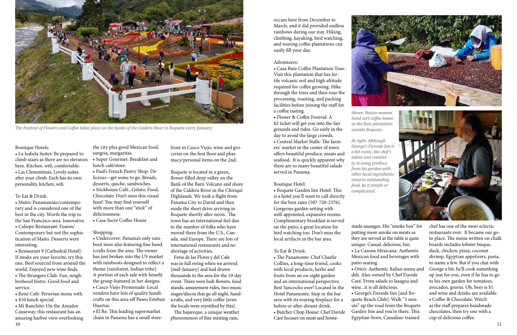#### Boutique Hotels:

• La Isabela Suites: Be prepared to climb stairs as there are no elevators • Super Gourmet: Breakfast and here. Kitchen, wifi, comfortable. • Las Clementina's: Lovely suites after your climb. Each has its own personality, kitchen, wifi.

#### To Eat & Drink:

• Maito: Panamanian/contemporary and is considered one of the best in the city. Worth the trip to the San Francisco area. Innovative. • Caliope Restaurant: Fusion/ Contemporary but not the sophistication of Maito. Desserts were interesting.

10 11 • Mi Ranchito: On the Amador Causeway, this restaurant has an amazing harbor view overlooking

• Restaurant 9 [Cathedral Hotel]: If steaks are your favorite, try this one. Beef sourced from around the world. Enjoyed new wine finds.

• The Strangers Club: Fun, neighborhood bistro. Good food and service.

• René Café: Peruvian menu with a \$10 lunch special.

the city plus good Mexican food, sangria, margaritas.

- lunch café/store.
- Paul's French Pastry Shop: Delicious—get some to go. Breads, desserts, quiche, sandwiches. • Stickhouse Café...Gelato, Food,

Chocolate: Don't miss this visual feast! You may find yourself with more than one "stick" of deliciousness.

• Casa Sucre Coffee House

#### Shopping:

• Undercover: Panama's only rainboot store also featuring fine handicrafts from the area. The owner has just broken into the US market with rainboots designed to reflect a theme [rainforest, Indian tribe]. A portion of each sale with benefit the group featured in her designs.

• Casco Viejo Promenade: Local vendors have lots of quality handicrafts on this area off Paseo Esteban Huertas.

• El Re: This leading supermarket chain in Panama has a small store-

front in Casco Viejo, wine and groceries on the first floor and pharmacy/personal items on the 2nd.

Boquete is located in a green, flower-filled deep valley on the flank of the Barú Volcano and shore of the Caldera River in the Chiriquí Highlands. We took a flight from Panama City to David and then made the short drive arriving in Boquete shortly after noon. The town has an international feel due to the number of folks who have moved there from the U.S., Canada, and Europe. There are lots of international restaurants and no shortage of activities.

 Feria de las Flores y del Cafe was in full swing when we arrived [mid-January] and had drawn thousands to the area for the 10-day event. There were lush flowers, food stands, amusement rides, two music stages/discos that go all night, handicrafts, and very little coffee [even the locals were mystified by this].

 The bajareque, a unique weather phenomenon of fine misting rain,



*The Festival of Flowers and Coffee takes place on the banks of the Caldera River in Boquete every January.*

occurs here from December to March, and it did provided endless rainbows during our stay. Hiking, climbing, kayaking, bird watching, and touring coffee plantations can easily fill your day.

#### Adventures:

• Casa Ruiz Coffee Plantation Tour: Visit this plantation that has fertile volcanic soil and high altitude required for coffee growing. Hike through the trees and then tour the processing, roasting, and packing facilities before joining the staff for a coffee tasting.

• Flower & Coffee Festival: A \$2 ticket will get you into the fair grounds and rides. Go early in the day to avoid the large crowds.

• Central Market Stalls: The farmers' market in the center of town offers beautiful produce, meats and seafood. It is quickly apparent why there are so many beautiful salads served in Panama.

#### Boutique Hotel:

• Boquete Garden Inn Hotel: This is a hotel you'll want to call directly for the best rates (507-720-2376). Gorgeous garden setting with well-appointed, expansive rooms. Complimentary breakfast is served on the patio, a great location for bird watching too. Don't miss the local artifacts in the bar area.

#### To Eat & Drink:

• The Panamonte: Chef Charlie Collins, a long-time friend, cooks with local products, herbs and fruits from an on-sight garden and an international perspective. Best Sancocho ever! Located in the Hotel Panamonte. Stop in the bar area with its roaring fireplace for a before or after-dinner drink. • Butcher Chop House: Chef Davide Caré focuses on meat and home-

made sausages. His "smoke box" for putting more smoke on meats as they are served at the table is quite unique. Casual, delicious, fun. • La Casona Mexicana: Authentic Mexican food and beverages with patio seating. • Otto's: Authentic Italian menu and deli. Also owned by Chef Davide Caré. From salads to lasagna and wine...it is all delicious. • George's Fireside Inn [and Boquete Beach Club]: Walk "1 minute" up the road from the Boquete Garden Inn and you're there. This Egyptian-born, Canadian-trained





*Above: Native women hand sort coffee beans at the Ruiz plantation outside Boquete.*

*At right: Although George's Fireside Inn is a bit rustic, the chef's talent and creativity in using produce from his garden with other local ingredients ensures outstanding food, be it simple or complicated.*

> chef has one of the most eclectic restaurants ever. It became our goto place. The menu written on chalk boards includes lobster bisque, duck, chicken, pizza, coconut shrimp, Egyptian appetizers, pasta, to name a few. But if you chat with George a bit, he'll cook something up just for you, even if he has to go to his own garden for tomatoes, avocados, greens. Oh, beer is \$1 and wine and drinks are available. • Coffee & Chocolate: Watch as the staff prepares handmade chocolates, then try one with a cup of delicious coffee.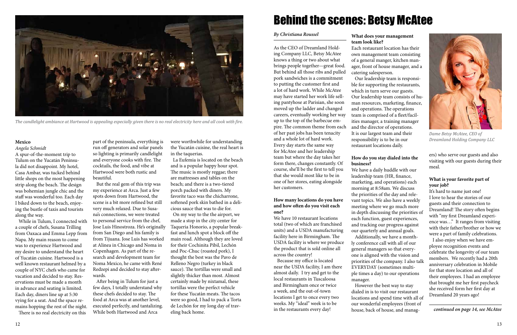# Behind the scenes: Betsy McAtee

#### *By Christiana Roussel*

As the CEO of Dreamland Holding Company LLC, Betsy McAtee knows a thing or two about what brings people together—great food. But behind all those ribs and pulled pork sandwiches is a commitment to putting the customer first and a lot of hard work. While McAtee may have started her work life selling pantyhose at Parisian, she soon moved up the ladder and changed careers, eventually working her way up to the top of the barbecue empire. The common theme from each of her past jobs has been tenacity and a whole lot of hard work. Every day starts the same way for McAtee and her leadership team but where the day takes her form there, changes constantly. Of course, she'll be the first to tell you that she would most like to be in one of her stores, eating alongside her customers.

 Our leadership team is responsible for supporting the restaurants, which in turn serve our guests. Our leadership team consists of human resources, marketing, finance, and operations. The operations team is comprised of a fleet/facilities manager, a training manager and the director of operations. It is our largest team and their responsibility is to be in our restaurant locations daily. **Mexico Dreamland Holding Company LLC Dreamland Holding Company LLC Dreamland Holding Company LLC Mexico Dreamland Holding Company LLC** 

#### **How many locations do you have and how often do you visit each one?**

We have 10 restaurant locations total (two of which are franchised units) and a USDA manufacturing facility here in Birmingham. The USDA facility is where we produce the product that is sold online all across the country!

 Because my office is located near the USDA facility, I am there almost daily. I try and get to the local restaurants in Tuscaloosa and Birmingham once or twice a week, and the out-of-town locations I get to once every two weeks. My "ideal" week is to be in the restaurants every day!

## **What does your management**

Each restaurant location has their own management team consisting of a general manger, kitchen manager, front of house manager, and a

**team look like?** catering salesperson.

#### **How do you stay dialed into the business?**

We have a daily huddle with our leadership team (HR, finance, marketing, and operations) each morning at 8:58am. We discuss the priorities of the day and relevant topics. We also have a weekly meeting where we go much more in depth discussing the priorities of each function, guest experiences, and tracking our progress against our quarterly and annual goals. Additionally, we have a monthly conference call with all of our general managers so that everyone is aligned with the vision and priorities of the company. I also tall EVERYDAY (sometimes multiple times a day) to our operations

manager.

 However the best way to stay dialed in is to visit our restaurant locations and spend time with all of our wonderful employees (front of house, back of house, and managers) who serve our guests and also visiting with our guests during their meal.

### **What is your favorite part of your job?**

It's hard to name just one! I love to hear the stories of our guests and their connection to Dreamland! The story often begins with "my first Dreamland experience was…" It ranges from visiting with their father/brother or how we were a part of family celebrations.

 I also enjoy when we have employee recognition events and celebrate the longevity of our team members. We recently had a 20th anniversary celebration in Mobile for that store location and all of their employees. I had an employee that brought me her first paycheck she received form her first day at Dreamland 20 years ago!



*Dame Betsy McAtee, CEO of* 

#### *Angela Schmidt*

A spur-of-the-moment trip to Tulum on the Yucatán Peninsula did not disappoint. My hotel, Casa Ambar, was tucked behind little shops on the most happening strip along the beach. The design was bohemian jungle chic and the staff was wonderful too. Each day I biked down to the beach, enjoying the bustle of taxis and tourists along the way.

 While in Tulum, I connected with a couple of chefs, Susana Trilling from Oaxaca and Emma Lepp from Napa. My main reason to come was to experience Hartwood and my desire to understand the heart of Yucatán cuisine. Hartwood is a well known restaurant helmed by a couple of NYC chefs who came for vacation and decided to stay. Reservations must be made a month in advance and seating is limited. Each day, diners line up at 5:30 vying for a seat. And the space remains hopping the rest of the night. There is no real electricity on this

part of the peninsula, everything is run off generators and solar panels so lighting is primarily candlelight and everyone cooks with fire. The cocktails, the food, and vibe at Hartwood were both rustic and beautiful.

 But the real gem of this trip was my experience at Arca. Just a few spots down from Hartwood, the scene is a bit more refined but still very much relaxed. Due to Susana's connections, we were treated to personal service from the chef, Jose Luis Hinostroza. He's originally from San Diego and his family is from Tijuana. Jose Luis has worked at Alinea in Chicago and Noma in Copenhagen. As part of the research and development team for Noma Mexico, he came with René Redzepi and decided to stay afterwards.

 After being in Tulum for just a few days, I totally understand why these chefs decided to stay. The food at Arca was at another level, executed perfectly, and tantalizing. While both Hartwood and Arca

were worthwhile for understanding the Yucatán cuisine, the real heart is in the taquerias.

 La Eufemia is located on the beach and is a popular happy hour spot. The music is mostly reggae; there are mattresses and tables on the beach; and there is a two-tiered porch packed with diners. My favorite taco was the chicharrone, softened pork skin bathed in a delicious sauce that was to die for.

 On my way to the the airport, we made a stop in the city center for Taqueria Honorio, a popular breakfast and lunch spot a block off the main road. Although they are loved for their Cochinita Pibil, Lechón and Poc-Chuc (roasted pork), I thought the best was the Pavo de Relleno Negro (turkey in black sauce). The tortillas were small and slightly thicker than most. Almost certainly made by nixtamal, these tortillas were the perfect vehicle for these Yucatàn meats. The tacos were so good, I had to pack a Torta de Lechón for my long day of traveling back home.



*The candlelight ambiance at Hartwood is appealing especially given there is no real electricity here and all cook with fire.*

*continued on page 14, see McAtee*